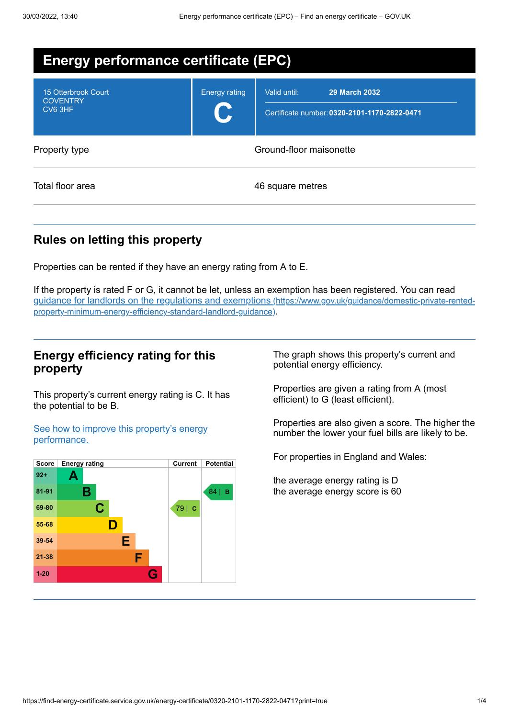| <b>Energy performance certificate (EPC)</b>       |                         |                                                                                      |  |
|---------------------------------------------------|-------------------------|--------------------------------------------------------------------------------------|--|
| 15 Otterbrook Court<br><b>COVENTRY</b><br>CV6 3HF | <b>Energy rating</b>    | <b>29 March 2032</b><br>Valid until:<br>Certificate number: 0320-2101-1170-2822-0471 |  |
| Property type                                     | Ground-floor maisonette |                                                                                      |  |
| Total floor area                                  | 46 square metres        |                                                                                      |  |

# **Rules on letting this property**

Properties can be rented if they have an energy rating from A to E.

If the property is rated F or G, it cannot be let, unless an exemption has been registered. You can read guidance for landlords on the regulations and exemptions (https://www.gov.uk/guidance/domestic-private-rented[property-minimum-energy-efficiency-standard-landlord-guidance\)](https://www.gov.uk/guidance/domestic-private-rented-property-minimum-energy-efficiency-standard-landlord-guidance).

## **Energy efficiency rating for this property**

This property's current energy rating is C. It has the potential to be B.

See how to improve this property's energy [performance.](#page-2-0)



The graph shows this property's current and potential energy efficiency.

Properties are given a rating from A (most efficient) to G (least efficient).

Properties are also given a score. The higher the number the lower your fuel bills are likely to be.

For properties in England and Wales:

the average energy rating is D the average energy score is 60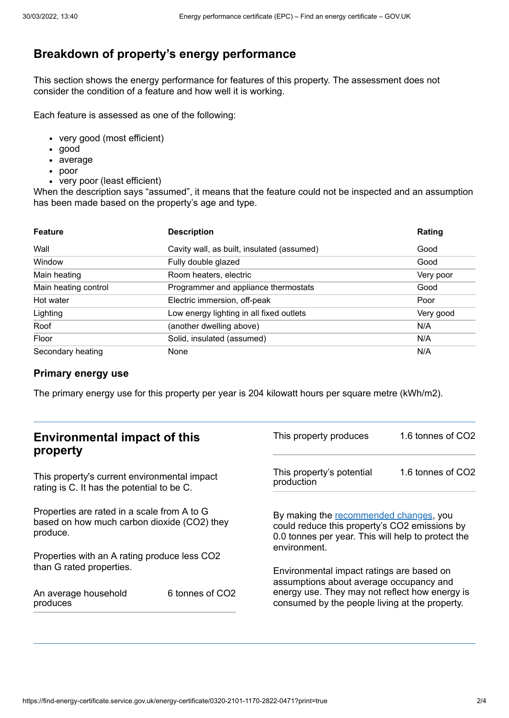## **Breakdown of property's energy performance**

This section shows the energy performance for features of this property. The assessment does not consider the condition of a feature and how well it is working.

Each feature is assessed as one of the following:

- very good (most efficient)
- good
- average
- poor
- very poor (least efficient)

When the description says "assumed", it means that the feature could not be inspected and an assumption has been made based on the property's age and type.

| <b>Feature</b>       | <b>Description</b>                         | Rating    |
|----------------------|--------------------------------------------|-----------|
| Wall                 | Cavity wall, as built, insulated (assumed) | Good      |
| Window               | Fully double glazed                        | Good      |
| Main heating         | Room heaters, electric                     | Very poor |
| Main heating control | Programmer and appliance thermostats       | Good      |
| Hot water            | Electric immersion, off-peak               | Poor      |
| Lighting             | Low energy lighting in all fixed outlets   | Very good |
| Roof                 | (another dwelling above)                   | N/A       |
| Floor                | Solid, insulated (assumed)                 | N/A       |
| Secondary heating    | None                                       | N/A       |

#### **Primary energy use**

The primary energy use for this property per year is 204 kilowatt hours per square metre (kWh/m2).

| <b>Environmental impact of this</b><br>property                                                        |                 | This property produces                                                                                                                                                                   | 1.6 tonnes of CO2 |
|--------------------------------------------------------------------------------------------------------|-----------------|------------------------------------------------------------------------------------------------------------------------------------------------------------------------------------------|-------------------|
| This property's current environmental impact<br>rating is C. It has the potential to be C.             |                 | This property's potential<br>production                                                                                                                                                  | 1.6 tonnes of CO2 |
| Properties are rated in a scale from A to G<br>based on how much carbon dioxide (CO2) they<br>produce. |                 | By making the recommended changes, you<br>could reduce this property's CO2 emissions by<br>0.0 tonnes per year. This will help to protect the<br>environment.                            |                   |
| Properties with an A rating produce less CO2                                                           |                 |                                                                                                                                                                                          |                   |
| than G rated properties.<br>An average household<br>produces                                           | 6 tonnes of CO2 | Environmental impact ratings are based on<br>assumptions about average occupancy and<br>energy use. They may not reflect how energy is<br>consumed by the people living at the property. |                   |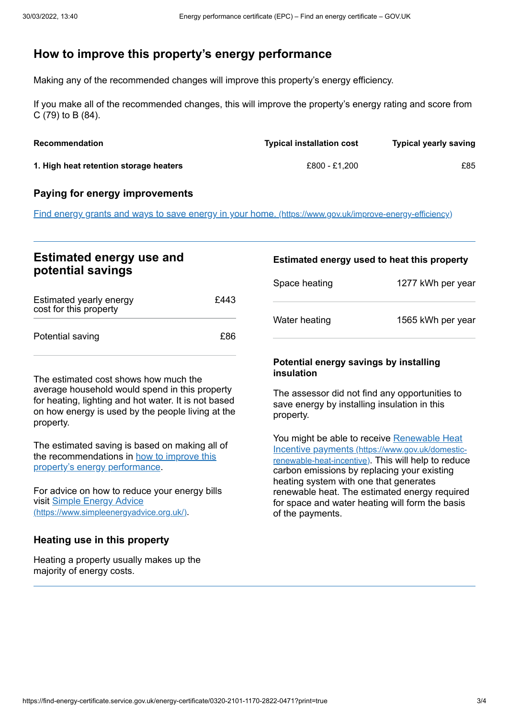## <span id="page-2-0"></span>**How to improve this property's energy performance**

Making any of the recommended changes will improve this property's energy efficiency.

If you make all of the recommended changes, this will improve the property's energy rating and score from C (79) to B (84).

| <b>Recommendation</b>                  | <b>Typical installation cost</b> | <b>Typical yearly saving</b> |
|----------------------------------------|----------------------------------|------------------------------|
| 1. High heat retention storage heaters | £800 - £1.200                    | £85                          |

#### **Paying for energy improvements**

Find energy grants and ways to save energy in your home. [\(https://www.gov.uk/improve-energy-efficiency\)](https://www.gov.uk/improve-energy-efficiency)

### **Estimated energy use and potential savings**

| Estimated yearly energy<br>cost for this property | £443 |
|---------------------------------------------------|------|
| Potential saving                                  | £86  |

The estimated cost shows how much the average household would spend in this property for heating, lighting and hot water. It is not based on how energy is used by the people living at the property.

The estimated saving is based on making all of the [recommendations](#page-2-0) in how to improve this property's energy performance.

For advice on how to reduce your energy bills visit Simple Energy Advice [\(https://www.simpleenergyadvice.org.uk/\)](https://www.simpleenergyadvice.org.uk/).

#### **Heating use in this property**

Heating a property usually makes up the majority of energy costs.

# **Estimated energy used to heat this property** Space heating 1277 kWh per year

Water heating 1565 kWh per year

#### **Potential energy savings by installing insulation**

The assessor did not find any opportunities to save energy by installing insulation in this property.

You might be able to receive Renewable Heat Incentive payments [\(https://www.gov.uk/domestic](https://www.gov.uk/domestic-renewable-heat-incentive)renewable-heat-incentive). This will help to reduce carbon emissions by replacing your existing heating system with one that generates renewable heat. The estimated energy required for space and water heating will form the basis of the payments.